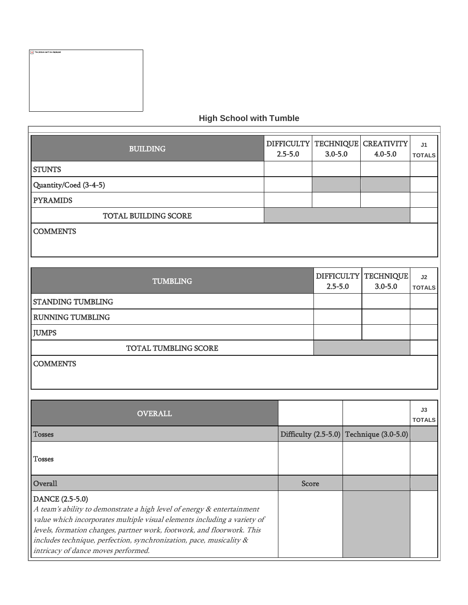| $\overline{\mathbf{x}}$ The picture can't be displayed. |  |  |
|---------------------------------------------------------|--|--|
|                                                         |  |  |
|                                                         |  |  |
|                                                         |  |  |
|                                                         |  |  |
|                                                         |  |  |
|                                                         |  |  |
|                                                         |  |  |
|                                                         |  |  |
|                                                         |  |  |

E

## **High School with Tumble**

| <b>BUILDING</b>       | $2.5 - 5.0$ | $3.0 - 5.0$ | DIFFICULTY   TECHNIQUE   CREATIVITY  <br>$4.0 - 5.0$ | J <sub>1</sub><br><b>TOTALS</b> |
|-----------------------|-------------|-------------|------------------------------------------------------|---------------------------------|
| <b>STUNTS</b>         |             |             |                                                      |                                 |
| Quantity/Coed (3-4-5) |             |             |                                                      |                                 |
| <b>PYRAMIDS</b>       |             |             |                                                      |                                 |
| TOTAL BUILDING SCORE  |             |             |                                                      |                                 |
| <b>COMMENTS</b>       |             |             |                                                      |                                 |
|                       |             |             |                                                      |                                 |
|                       |             |             |                                                      |                                 |

| <b>TUMBLING</b>          | $2.5 - 5.0$ | DIFFICULTY   TECHNIQUE  <br>$3.0 - 5.0$ | J <sub>2</sub><br><b>TOTALS</b> |
|--------------------------|-------------|-----------------------------------------|---------------------------------|
| <b>STANDING TUMBLING</b> |             |                                         |                                 |
| <b>RUNNING TUMBLING</b>  |             |                                         |                                 |
| <b>JUMPS</b>             |             |                                         |                                 |
| TOTAL TUMBLING SCORE     |             |                                         |                                 |
| <b>COMMENTS</b>          |             |                                         |                                 |

| <b>OVERALL</b>                                                                                                                                                                                                                                                                                                                                                |              |                                          | J3<br><b>TOTALS</b> |
|---------------------------------------------------------------------------------------------------------------------------------------------------------------------------------------------------------------------------------------------------------------------------------------------------------------------------------------------------------------|--------------|------------------------------------------|---------------------|
| <b>Tosses</b>                                                                                                                                                                                                                                                                                                                                                 |              | Difficulty (2.5-5.0) Technique (3.0-5.0) |                     |
| <b>Tosses</b>                                                                                                                                                                                                                                                                                                                                                 |              |                                          |                     |
| Overall                                                                                                                                                                                                                                                                                                                                                       | <b>Score</b> |                                          |                     |
| DANCE (2.5-5.0)<br>A team's ability to demonstrate a high level of energy & entertainment<br>value which incorporates multiple visual elements including a variety of<br>levels, formation changes, partner work, footwork, and floorwork. This<br>includes technique, perfection, synchronization, pace, musicality &<br>intricacy of dance moves performed. |              |                                          |                     |